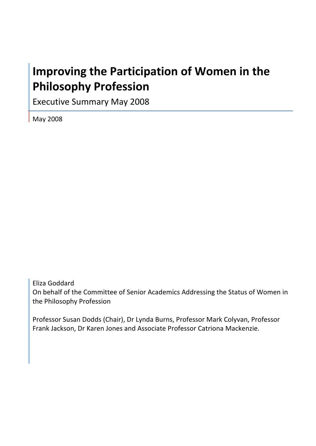# **Improving the Participation of Women in the Philosophy Profession**

Executive Summary May 2008

May 2008

Eliza Goddard On behalf of the Committee of Senior Academics Addressing the Status of Women in the Philosophy Profession

Professor Susan Dodds (Chair), Dr Lynda Burns, Professor Mark Colyvan, Professor Frank Jackson, Dr Karen Jones and Associate Professor Catriona Mackenzie.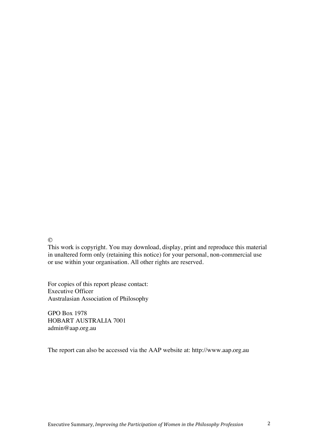$\odot$ 

This work is copyright. You may download, display, print and reproduce this material in unaltered form only (retaining this notice) for your personal, non-commercial use or use within your organisation. All other rights are reserved.

For copies of this report please contact: Executive Officer Australasian Association of Philosophy

GPO Box 1978 HOBART AUSTRALIA 7001 admin@aap.org.au

The report can also be accessed via the AAP website at: http://www.aap.org.au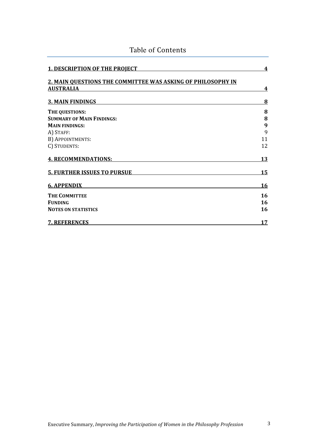| <b>1. DESCRIPTION OF THE PROJECT</b>                                            | 4         |
|---------------------------------------------------------------------------------|-----------|
| 2. MAIN OUESTIONS THE COMMITTEE WAS ASKING OF PHILOSOPHY IN<br><b>AUSTRALIA</b> | 4         |
| <b>3. MAIN FINDINGS</b>                                                         | 8         |
| THE QUESTIONS:                                                                  | 8         |
| <b>SUMMARY OF MAIN FINDINGS:</b>                                                | 8         |
| <b>MAIN FINDINGS:</b>                                                           | 9         |
| A) STAFF:                                                                       | 9         |
| B) APPOINTMENTS:                                                                | 11        |
| C) STUDENTS:                                                                    | 12        |
| <b>4. RECOMMENDATIONS:</b>                                                      | 13        |
| <b>5. FURTHER ISSUES TO PURSUE</b>                                              | 15        |
| <b>6. APPENDIX</b>                                                              | <u>16</u> |
| <b>THE COMMITTEE</b>                                                            | 16        |
| <b>FUNDING</b>                                                                  | 16        |
| <b>NOTES ON STATISTICS</b>                                                      | 16        |
| <b>7. REFERENCES</b>                                                            | 17        |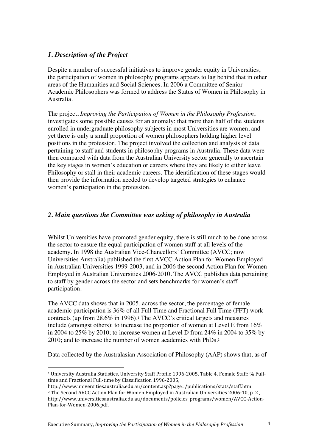# *1. Description of the Project*

Despite a number of successful initiatives to improve gender equity in Universities, the participation of women in philosophy programs appears to lag behind that in other areas of the Humanities and Social Sciences. In 2006 a Committee of Senior Academic Philosophers was formed to address the Status of Women in Philosophy in Australia.

The project, *Improving the Participation of Women in the Philosophy Profession*, investigates some possible causes for an anomaly: that more than half of the students enrolled in undergraduate philosophy subjects in most Universities are women, and yet there is only a small proportion of women philosophers holding higher level positions in the profession. The project involved the collection and analysis of data pertaining to staff and students in philosophy programs in Australia. These data were then compared with data from the Australian University sector generally to ascertain the key stages in women's education or careers where they are likely to either leave Philosophy or stall in their academic careers. The identification of these stages would then provide the information needed to develop targeted strategies to enhance women's participation in the profession.

# *2. Main questions the Committee was asking of philosophy in Australia*

Whilst Universities have promoted gender equity, there is still much to be done across the sector to ensure the equal participation of women staff at all levels of the academy. In 1998 the Australian Vice-Chancellors' Committee (AVCC; now Universities Australia) published the first AVCC Action Plan for Women Employed in Australian Universities 1999-2003, and in 2006 the second Action Plan for Women Employed in Australian Universities 2006-2010. The AVCC publishes data pertaining to staff by gender across the sector and sets benchmarks for women's staff participation.

The AVCC data shows that in 2005, across the sector, the percentage of female academic participation is 36% of all Full Time and Fractional Full Time (FFT) work contracts (up from 28.6% in 1996).1 The AVCC's critical targets and measures include (amongst others): to increase the proportion of women at Level E from 16% in 2004 to 25% by 2010; to increase women at Level D from 24% in 2004 to 35% by 2010; and to increase the number of women academics with PhDs.<sup>2</sup>

Data collected by the Australasian Association of Philosophy (AAP) shows that, as of

 $\overline{a}$ 1 University Australia Statistics, University Staff Profile 1996‐2005, Table 4. Female Staff: % Full‐ time and Fractional Full‐time by Classification 1996‐2005,

http://www.universitiesaustralia.edu.au/content.asp?page=/publications/stats/staff.htm 2 The Second AVCC Action Plan for Women Employed in Australian Universities 2006‐10, p. 2., http://www.universitiesaustralia.edu.au/documents/policies\_programs/women/AVCC‐Action‐ Plan‐for‐Women‐2006.pdf.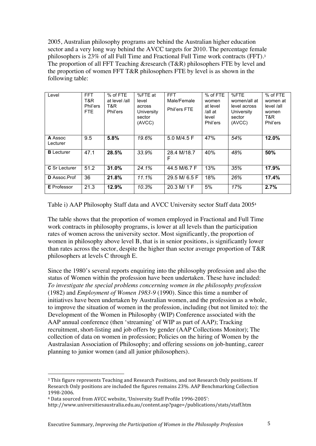2005, Australian philosophy programs are behind the Australian higher education sector and a very long way behind the AVCC targets for 2010. The percentage female philosophers is 23% of all Full Time and Fractional Full Time work contracts (FFT).<sup>3</sup> The proportion of all FFT Teaching &research (T&R) philosophers FTE by level and the proportion of women FFT T&R philosophers FTE by level is as shown in the following table:

| Level                | <b>FFT</b><br>T&R<br>Phil'ers<br>FTE. | % of FTE<br>at level /all<br>T&R<br>Phil'ers | %FTE at<br>level<br>across<br>University<br>sector<br>(AVCC) | <b>FFT</b><br>Male/Female<br>Phil'ers FTE | % of FTE<br>women<br>at level<br>/all at<br>level<br>Phil'ers | %FTE<br>women/all at<br>level across<br>University<br>sector<br>(AVCC) | % of FTE<br>women at<br>level /all<br>women<br>T&R.<br>Phil'ers |
|----------------------|---------------------------------------|----------------------------------------------|--------------------------------------------------------------|-------------------------------------------|---------------------------------------------------------------|------------------------------------------------------------------------|-----------------------------------------------------------------|
| A Assoc<br>Lecturer  | 9.5                                   | 5.8%                                         | 19.6%                                                        | 5.0 M/4.5 F                               | 47%                                                           | 54%                                                                    | 12.0%                                                           |
| <b>B</b> Lecturer    | 47.1                                  | 28.5%                                        | 33.9%                                                        | 28.4 M/18.7<br>F                          | 40%                                                           | 48%                                                                    | 50%                                                             |
| <b>C</b> Sr Lecturer | 51.2                                  | 31.0%                                        | 24.1%                                                        | 44.5 M/6.7 F                              | 13%                                                           | 35%                                                                    | 17.9%                                                           |
| D Assoc.Prof         | 36                                    | 21.8%                                        | 11.1%                                                        | 29.5 M/ 6.5 F                             | 18%                                                           | 26%                                                                    | 17.4%                                                           |
| <b>E</b> Professor   | 21.3                                  | 12.9%                                        | 10.3%                                                        | 20.3 M/ 1 F                               | 5%                                                            | 17%                                                                    | 2.7%                                                            |

Table i) AAP Philosophy Staff data and AVCC University sector Staff data 2005<sup>4</sup>

The table shows that the proportion of women employed in Fractional and Full Time work contracts in philosophy programs, is lower at all levels than the participation rates of women across the university sector. Most significantly, the proportion of women in philosophy above level B, that is in senior positions, is significantly lower than rates across the sector, despite the higher than sector average proportion of T&R philosophers at levels C through E.

Since the 1980's several reports enquiring into the philosophy profession and also the status of Women within the profession have been undertaken. These have included: *To investigate the special problems concerning women in the philosophy profession* (1982) and *Employment of Women 1983-9* (1990). Since this time a number of initiatives have been undertaken by Australian women, and the profession as a whole, to improve the situation of women in the profession, including (but not limited to): the Development of the Women in Philosophy (WIP) Conference associated with the AAP annual conference (then 'streaming' of WIP as part of AAP); Tracking recruitment, short-listing and job offers by gender (AAP Collections Monitor); The collection of data on women in profession; Policies on the hiring of Women by the Australasian Association of Philosophy; and offering sessions on job-hunting, career planning to junior women (and all junior philosophers).

 $\overline{a}$ 

<sup>3</sup> This figure represents Teaching and Research Positions, and not Research Only positions. If Research Only positions are included the figures remains 23%. AAP Benchmarking Collection 1998‐2006.

<sup>4</sup> Data sourced from AVCC website, 'University Staff Profile 1996‐2005':

http://www.universitiesaustralia.edu.au/content.asp?page=/publications/stats/staff.htm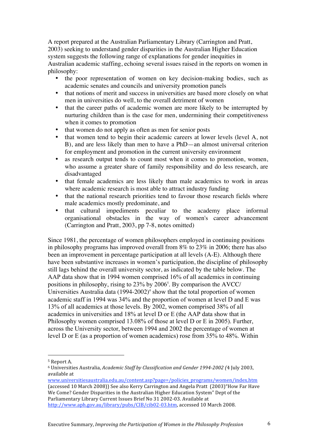A report prepared at the Australian Parliamentary Library (Carrington and Pratt, 2003) seeking to understand gender disparities in the Australian Higher Education system suggests the following range of explanations for gender inequities in Australian academic staffing, echoing several issues raised in the reports on women in philosophy:

- the poor representation of women on key decision-making bodies, such as academic senates and councils and university promotion panels
- that notions of merit and success in universities are based more closely on what men in universities do well, to the overall detriment of women
- that the career paths of academic women are more likely to be interrupted by nurturing children than is the case for men, undermining their competitiveness when it comes to promotion
- that women do not apply as often as men for senior posts
- that women tend to begin their academic careers at lower levels (level A, not B), and are less likely than men to have a PhD—an almost universal criterion for employment and promotion in the current university environment
- as research output tends to count most when it comes to promotion, women, who assume a greater share of family responsibility and do less research, are disadvantaged
- that female academics are less likely than male academics to work in areas where academic research is most able to attract industry funding
- that the national research priorities tend to favour those research fields where male academics mostly predominate, and
- that cultural impediments peculiar to the academy place informal organisational obstacles in the way of women's career advancement (Carrington and Pratt, 2003, pp 7-8, notes omitted)

Since 1981, the percentage of women philosophers employed in continuing positions in philosophy programs has improved overall from 8% to 23% in 2006; there has also been an improvement in percentage participation at all levels (A-E). Although there have been substantive increases in women's participation, the discipline of philosophy still lags behind the overall university sector, as indicated by the table below. The AAP data show that in 1994 women comprised 16% of all academics in continuing positions in philosophy, rising to 23% by 2006<sup>5</sup>. By comparison the AVCC/ Universities Australia data (1994-2002)*<sup>6</sup>* show that the total proportion of women academic staff in 1994 was 34% and the proportion of women at level D and E was 13% of all academics at those levels. By 2002, women comprised 38% of all academics in universities and 18% at level D or E (the AAP data show that in Philosophy women comprised 13.08% of those at level D or E in 2005). Further, across the University sector, between 1994 and 2002 the percentage of women at level D or E (as a proportion of women academics) rose from 35% to 48%. Within

 $\overline{a}$ 

<sup>5</sup> Report A.

<sup>6</sup> Universities Australia, *Academic Staff by Classification and Gender 19942002 (*4 July 2003, available at

www.universitiesaustralia.edu.au/content.asp?page=/policies\_programs/women/index.htm (accessed 10 March 2008)) See also Kerry Carrington and Angela Pratt (2003)"How Far Have We Come? Gender Disparities in the Australian Higher Education System" Dept of the Parliamentary Library Current Issues Brief No 31 2002‐03. Available at http://www.aph.gov.au/library/pubs/CIB/cib02‐03.htm, accessed 10 March 2008.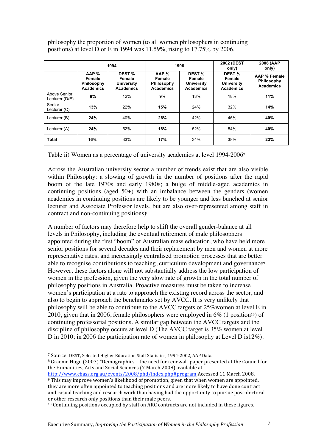philosophy the proportion of women (to all women philosophers in continuing positions) at level D or E in 1994 was 11.59%, rising to 17.75% by 2006.

|                                | 1994                                              |                                                           |                                                   | 1996                                                      | <b>2002 (DEST</b><br>only)                                | 2006 (AAP<br>only)                             |
|--------------------------------|---------------------------------------------------|-----------------------------------------------------------|---------------------------------------------------|-----------------------------------------------------------|-----------------------------------------------------------|------------------------------------------------|
|                                | AAP %<br>Female<br>Philosophy<br><b>Academics</b> | DEST %<br>Female<br><b>University</b><br><b>Academics</b> | AAP %<br>Female<br>Philosophy<br><b>Academics</b> | DEST %<br>Female<br><b>University</b><br><b>Academics</b> | DEST %<br>Female<br><b>University</b><br><b>Academics</b> | AAP % Female<br>Philosophy<br><b>Academics</b> |
| Above Senior<br>Lecturer (D/E) | 8%                                                | 12%                                                       | 9%                                                | 13%                                                       | 18%                                                       | 11%                                            |
| Senior<br>Lecturer (C)         | 13%                                               | 22%                                                       | 15%                                               | 24%                                                       | 32%                                                       | 14%                                            |
| Lecturer (B)                   | 24%                                               | 40%                                                       | 26%                                               | 42%                                                       | 46%                                                       | 40%                                            |
| Lecturer (A)                   | 24%                                               | 52%                                                       | 18%                                               | 52%                                                       | 54%                                                       | 40%                                            |
| <b>Total</b>                   | 16%                                               | 33%                                                       | 17%                                               | 34%                                                       | 38%                                                       | 23%                                            |

Table ii) Women as a percentage of university academics at level 1994-2006<sup>7</sup>

Across the Australian university sector a number of trends exist that are also visible within Philosophy: a slowing of growth in the number of positions after the rapid boom of the late 1970s and early 1980s; a bulge of middle-aged academics in continuing positions (aged  $50+$ ) with an imbalance between the genders (women academics in continuing positions are likely to be younger and less bunched at senior lecturer and Associate Professor levels, but are also over-represented among staff in contract and non-continuing positions)<sup>8</sup>

A number of factors may therefore help to shift the overall gender-balance at all levels in Philosophy, including the eventual retirement of male philosophers appointed during the first "boom" of Australian mass education, who have held more senior positions for several decades and their replacement by men and women at more representative rates; and increasingly centralised promotion processes that are better able to recognise contributions to teaching, curriculum development and governance9. However, these factors alone will not substantially address the low participation of women in the profession, given the very slow rate of growth in the total number of philosophy positions in Australia. Proactive measures must be taken to increase women's participation at a rate to approach the existing record across the sector, and also to begin to approach the benchmarks set by AVCC. It is very unlikely that philosophy will be able to contribute to the AVCC targets of 25%women at level E in 2010, given that in 2006, female philosophers were employed in  $6\%$  (1 position<sup>10</sup>) of continuing professorial positions. A similar gap between the AVCC targets and the discipline of philosophy occurs at level D (The AVCC target is 35% women at level D in 2010; in 2006 the participation rate of women in philosophy at Level D is12%).

 $\overline{a}$ 7 Source: DEST, Selected Higher Education Staff Statistics, 1994‐2002, AAP Data.

<sup>8</sup> Graeme Hugo (2007) "Demographics – the need for renewal" paper presented at the Council for the Humanities, Arts and Social Sciences (7 March 2008) available at

http://www.chass.org.au/events/2008/phd/index.php#program Accessed 11 March 2008.

<sup>9</sup> This may improve women's likelihood of promotion, given that when women are appointed, they are more often appointed to teaching positions and are more likely to have done contract and casual teaching and research work than having had the opportunity to pursue post‐doctoral or other research only positions than their male peers.

<sup>10</sup> Continuing positions occupied by staff on ARC contracts are not included in these figures.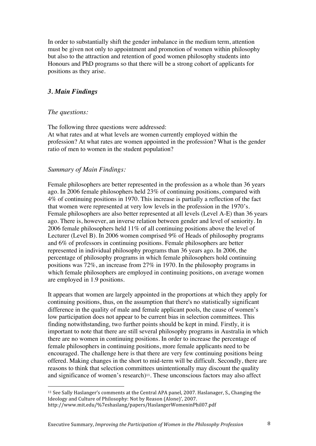In order to substantially shift the gender imbalance in the medium term, attention must be given not only to appointment and promotion of women within philosophy but also to the attraction and retention of good women philosophy students into Honours and PhD programs so that there will be a strong cohort of applicants for positions as they arise.

## *3. Main Findings*

#### *The questions:*

 $\overline{a}$ 

The following three questions were addressed:

At what rates and at what levels are women currently employed within the profession? At what rates are women appointed in the profession? What is the gender ratio of men to women in the student population?

#### *Summary of Main Findings:*

Female philosophers are better represented in the profession as a whole than 36 years ago. In 2006 female philosophers held 23% of continuing positions, compared with 4% of continuing positions in 1970. This increase is partially a reflection of the fact that women were represented at very low levels in the profession in the 1970's. Female philosophers are also better represented at all levels (Level A-E) than 36 years ago. There is, however, an inverse relation between gender and level of seniority. In 2006 female philosophers held 11% of all continuing positions above the level of Lecturer (Level B). In 2006 women comprised 9% of Heads of philosophy programs and 6% of professors in continuing positions. Female philosophers are better represented in individual philosophy programs than 36 years ago. In 2006, the percentage of philosophy programs in which female philosophers hold continuing positions was 72%, an increase from 27% in 1970. In the philosophy programs in which female philosophers are employed in continuing positions, on average women are employed in 1.9 positions.

It appears that women are largely appointed in the proportions at which they apply for continuing positions, thus, on the assumption that there's no statistically significant difference in the quality of male and female applicant pools, the cause of women's low participation does not appear to be current bias in selection committees. This finding notwithstanding, two further points should be kept in mind. Firstly, it is important to note that there are still several philosophy programs in Australia in which there are no women in continuing positions. In order to increase the percentage of female philosophers in continuing positions, more female applicants need to be encouraged. The challenge here is that there are very few continuing positions being offered. Making changes in the short to mid-term will be difficult. Secondly, there are reasons to think that selection committees unintentionally may discount the quality and significance of women's research)<sup>11</sup>. These unconscious factors may also affect

<sup>11</sup> See Sally Haslanger's comments at the Central APA panel, 2007. Haslanager, S., Changing the Ideology and Culture of Philosophy: Not by Reason (Alone)', 2007. http://www.mit.edu/%7eshaslang/papers/HaslangerWomeninPhil07.pdf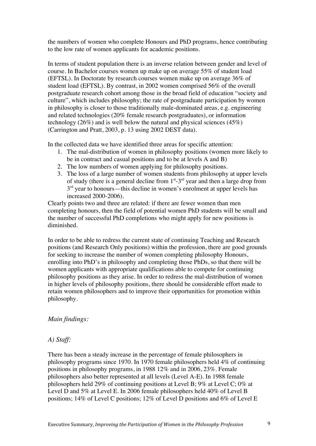the numbers of women who complete Honours and PhD programs, hence contributing to the low rate of women applicants for academic positions.

In terms of student population there is an inverse relation between gender and level of course. In Bachelor courses women up make up on average 55% of student load (EFTSL). In Doctorate by research courses women make up on average 36% of student load (EFTSL). By contrast, in 2002 women comprised 56% of the overall postgraduate research cohort among those in the broad field of education "society and culture", which includes philosophy; the rate of postgraduate participation by women in philosophy is closer to those traditionally male-dominated areas, e.g. engineering and related technologies (20% female research postgraduates), or information technology (26%) and is well below the natural and physical sciences (45%) (Carrington and Pratt, 2003, p. 13 using 2002 DEST data).

In the collected data we have identified three areas for specific attention:

- 1. The mal-distribution of women in philosophy positions (women more likely to be in contract and casual positions and to be at levels A and B)
- 2. The low numbers of women applying for philosophy positions.
- 3. The loss of a large number of women students from philosophy at upper levels of study (there is a general decline from  $1<sup>st</sup> - 3<sup>rd</sup>$  year and then a large drop from  $3<sup>rd</sup>$  year to honours—this decline in women's enrolment at upper levels has increased 2000-2006).

Clearly points two and three are related: if there are fewer women than men completing honours, then the field of potential women PhD students will be small and the number of successful PhD completions who might apply for new positions is diminished.

In order to be able to redress the current state of continuing Teaching and Research positions (and Research Only positions) within the profession, there are good grounds for seeking to increase the number of women completing philosophy Honours, enrolling into PhD's in philosophy and completing those PhDs, so that there will be women applicants with appropriate qualifications able to compete for continuing philosophy positions as they arise. In order to redress the mal-distribution of women in higher levels of philosophy positions, there should be considerable effort made to retain women philosophers and to improve their opportunities for promotion within philosophy.

#### *Main findings:*

#### *A) Staff:*

There has been a steady increase in the percentage of female philosophers in philosophy programs since 1970. In 1970 female philosophers held 4% of continuing positions in philosophy programs, in 1988 12% and in 2006, 23%. Female philosophers also better represented at all levels (Level A-E). In 1988 female philosophers held 29% of continuing positions at Level B; 9% at Level C; 0% at Level D and 5% at Level E. In 2006 female philosophers held 40% of Level B positions; 14% of Level C positions; 12% of Level D positions and 6% of Level E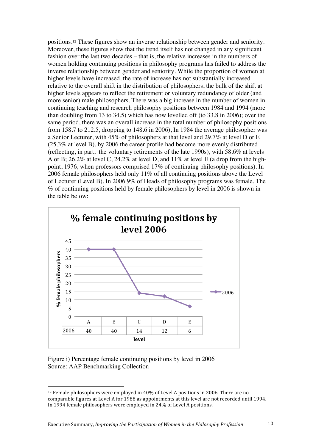positions.12 These figures show an inverse relationship between gender and seniority. Moreover, these figures show that the trend itself has not changed in any significant fashion over the last two decades – that is, the relative increases in the numbers of women holding continuing positions in philosophy programs has failed to address the inverse relationship between gender and seniority. While the proportion of women at higher levels have increased, the rate of increase has not substantially increased relative to the overall shift in the distribution of philosophers, the bulk of the shift at higher levels appears to reflect the retirement or voluntary redundancy of older (and more senior) male philosophers. There was a big increase in the number of women in continuing teaching and research philosophy positions between 1984 and 1994 (more than doubling from 13 to 34.5) which has now levelled off (to 33.8 in 2006); over the same period, there was an overall increase in the total number of philosophy positions from 158.7 to 212.5, dropping to 148.6 in 2006), In 1984 the average philosopher was a Senior Lecturer, with 45% of philosophers at that level and 29.7% at level D or E (25.3% at level B), by 2006 the career profile had become more evenly distributed (reflecting, in part, the voluntary retirements of the late 1990s), with 58.6% at levels A or B; 26.2% at level C, 24.2% at level D, and 11% at level E (a drop from the highpoint, 1976, when professors comprised 17% of continuing philosophy positions). In 2006 female philosophers held only 11% of all continuing positions above the Level of Lecturer (Level B). In 2006 9% of Heads of philosophy programs was female. The % of continuing positions held by female philosophers by level in 2006 is shown in the table below:



Figure i) Percentage female continuing positions by level in 2006 Source: AAP Benchmarking Collection

 $\overline{a}$ 

<sup>12</sup> Female philosophers were employed in 40% of Level A positions in 2006. There are no comparable figures at Level A for 1988 as appointments at this level are not recorded until 1994. In 1994 female philosophers were employed in 24% of Level A positions.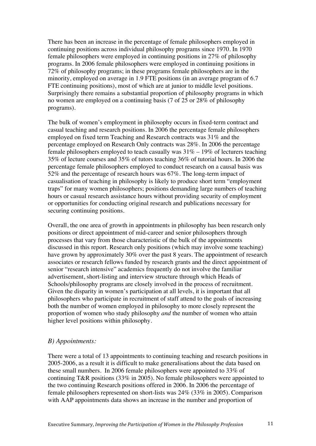There has been an increase in the percentage of female philosophers employed in continuing positions across individual philosophy programs since 1970. In 1970 female philosophers were employed in continuing positions in 27% of philosophy programs. In 2006 female philosophers were employed in continuing positions in 72% of philosophy programs; in these programs female philosophers are in the minority, employed on average in 1.9 FTE positions (in an average program of 6.7 FTE continuing positions), most of which are at junior to middle level positions. Surprisingly there remains a substantial proportion of philosophy programs in which no women are employed on a continuing basis (7 of 25 or 28% of philosophy programs).

The bulk of women's employment in philosophy occurs in fixed-term contract and casual teaching and research positions. In 2006 the percentage female philosophers employed on fixed term Teaching and Research contracts was 31% and the percentage employed on Research Only contracts was 28%. In 2006 the percentage female philosophers employed to teach casually was  $31\% - 19\%$  of lecturers teaching 35% of lecture courses and 35% of tutors teaching 36% of tutorial hours. In 2006 the percentage female philosophers employed to conduct research on a causal basis was 52% and the percentage of research hours was 67%. The long-term impact of casualisation of teaching in philosophy is likely to produce short term "employment traps" for many women philosophers; positions demanding large numbers of teaching hours or casual research assistance hours without providing security of employment or opportunities for conducting original research and publications necessary for securing continuing positions.

Overall, the one area of growth in appointments in philosophy has been research only positions or direct appointment of mid-career and senior philosophers through processes that vary from those characteristic of the bulk of the appointments discussed in this report. Research only positions (which may involve some teaching) have grown by approximately 30% over the past 8 years. The appointment of research associates or research fellows funded by research grants and the direct appointment of senior "research intensive" academics frequently do not involve the familiar advertisement, short-listing and interview structure through which Heads of Schools/philosophy programs are closely involved in the process of recruitment. Given the disparity in women's participation at all levels, it is important that all philosophers who participate in recruitment of staff attend to the goals of increasing both the number of women employed in philosophy to more closely represent the proportion of women who study philosophy *and* the number of women who attain higher level positions within philosophy.

#### *B) Appointments:*

There were a total of 13 appointments to continuing teaching and research positions in 2005-2006, as a result it is difficult to make generalisations about the data based on these small numbers. In 2006 female philosophers were appointed to 33% of continuing T&R positions (33% in 2005). No female philosophers were appointed to the two continuing Research positions offered in 2006. In 2006 the percentage of female philosophers represented on short-lists was 24% (33% in 2005). Comparison with AAP appointments data shows an increase in the number and proportion of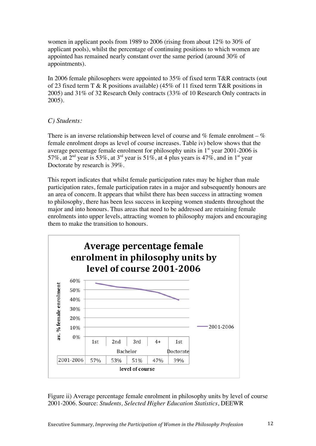women in applicant pools from 1989 to 2006 (rising from about 12% to 30% of applicant pools), whilst the percentage of continuing positions to which women are appointed has remained nearly constant over the same period (around 30% of appointments).

In 2006 female philosophers were appointed to 35% of fixed term T&R contracts (out of 23 fixed term T & R positions available) (45% of 11 fixed term T & R positions in 2005) and 31% of 32 Research Only contracts (33% of 10 Research Only contracts in 2005).

#### *C) Students:*

There is an inverse relationship between level of course and  $%$  female enrolment –  $%$ female enrolment drops as level of course increases. Table iv) below shows that the average percentage female enrolment for philosophy units in  $1<sup>st</sup>$  year 2001-2006 is 57%, at  $2<sup>nd</sup>$  year is 53%, at  $3<sup>rd</sup>$  year is 51%, at 4 plus years is 47%, and in 1<sup>st</sup> year Doctorate by research is 39%.

This report indicates that whilst female participation rates may be higher than male participation rates, female participation rates in a major and subsequently honours are an area of concern. It appears that whilst there has been success in attracting women to philosophy, there has been less success in keeping women students throughout the major and into honours. Thus areas that need to be addressed are retaining female enrolments into upper levels, attracting women to philosophy majors and encouraging them to make the transition to honours.



Figure ii) Average percentage female enrolment in philosophy units by level of course 2001-2006. Source: *Students, Selected Higher Education Statistics*, DEEWR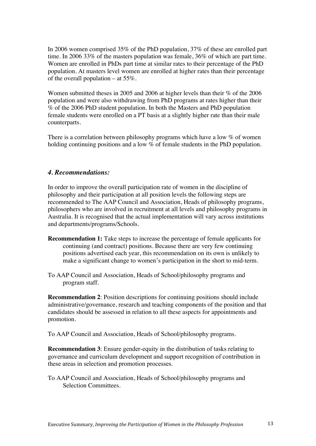In 2006 women comprised 35% of the PhD population, 37% of these are enrolled part time. In 2006 33% of the masters population was female, 36% of which are part time. Women are enrolled in PhDs part time at similar rates to their percentage of the PhD population. At masters level women are enrolled at higher rates than their percentage of the overall population – at 55%.

Women submitted theses in 2005 and 2006 at higher levels than their % of the 2006 population and were also withdrawing from PhD programs at rates higher than their % of the 2006 PhD student population. In both the Masters and PhD population female students were enrolled on a PT basis at a slightly higher rate than their male counterparts.

There is a correlation between philosophy programs which have a low % of women holding continuing positions and a low % of female students in the PhD population.

#### *4. Recommendations:*

In order to improve the overall participation rate of women in the discipline of philosophy and their participation at all position levels the following steps are recommended to The AAP Council and Association, Heads of philosophy programs, philosophers who are involved in recruitment at all levels and philosophy programs in Australia. It is recognised that the actual implementation will vary across institutions and departments/programs/Schools.

- **Recommendation 1:** Take steps to increase the percentage of female applicants for continuing (and contract) positions. Because there are very few continuing positions advertised each year, this recommendation on its own is unlikely to make a significant change to women's participation in the short to mid-term.
- To AAP Council and Association, Heads of School/philosophy programs and program staff.

**Recommendation 2**: Position descriptions for continuing positions should include administrative/governance, research and teaching components of the position and that candidates should be assessed in relation to all these aspects for appointments and promotion.

To AAP Council and Association, Heads of School/philosophy programs.

**Recommendation 3**: Ensure gender-equity in the distribution of tasks relating to governance and curriculum development and support recognition of contribution in these areas in selection and promotion processes.

To AAP Council and Association, Heads of School/philosophy programs and Selection Committees.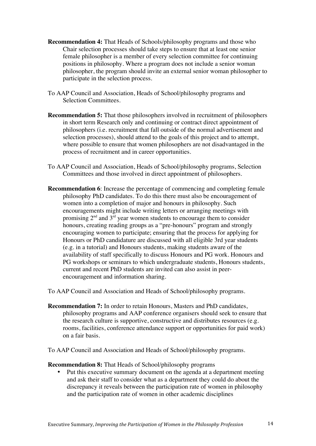- **Recommendation 4:** That Heads of Schools/philosophy programs and those who Chair selection processes should take steps to ensure that at least one senior female philosopher is a member of every selection committee for continuing positions in philosophy. Where a program does not include a senior woman philosopher, the program should invite an external senior woman philosopher to participate in the selection process.
- To AAP Council and Association, Heads of School/philosophy programs and Selection Committees.
- **Recommendation 5:** That those philosophers involved in recruitment of philosophers in short term Research only and continuing or contract direct appointment of philosophers (i.e. recruitment that fall outside of the normal advertisement and selection processes), should attend to the goals of this project and to attempt, where possible to ensure that women philosophers are not disadvantaged in the process of recruitment and in career opportunities.
- To AAP Council and Association, Heads of School/philosophy programs, Selection Committees and those involved in direct appointment of philosophers.
- **Recommendation 6**: Increase the percentage of commencing and completing female philosophy PhD candidates. To do this there must also be encouragement of women into a completion of major and honours in philosophy. Such encouragements might include writing letters or arranging meetings with promising  $2<sup>nd</sup>$  and  $3<sup>rd</sup>$  year women students to encourage them to consider honours, creating reading groups as a "pre-honours" program and strongly encouraging women to participate; ensuring that the process for applying for Honours or PhD candidature are discussed with all eligible 3rd year students (e.g. in a tutorial) and Honours students, making students aware of the availability of staff specifically to discuss Honours and PG work. Honours and PG workshops or seminars to which undergraduate students, Honours students, current and recent PhD students are invited can also assist in peerencouragement and information sharing.
- To AAP Council and Association and Heads of School/philosophy programs.
- **Recommendation 7:** In order to retain Honours, Masters and PhD candidates, philosophy programs and AAP conference organisers should seek to ensure that the research culture is supportive, constructive and distributes resources (e.g. rooms, facilities, conference attendance support or opportunities for paid work) on a fair basis.

To AAP Council and Association and Heads of School/philosophy programs.

#### **Recommendation 8:** That Heads of School/philosophy programs

• Put this executive summary document on the agenda at a department meeting and ask their staff to consider what as a department they could do about the discrepancy it reveals between the participation rate of women in philosophy and the participation rate of women in other academic disciplines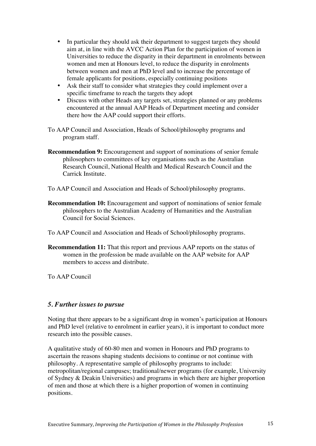- In particular they should ask their department to suggest targets they should aim at, in line with the AVCC Action Plan for the participation of women in Universities to reduce the disparity in their department in enrolments between women and men at Honours level, to reduce the disparity in enrolments between women and men at PhD level and to increase the percentage of female applicants for positions, especially continuing positions
- Ask their staff to consider what strategies they could implement over a specific timeframe to reach the targets they adopt
- Discuss with other Heads any targets set, strategies planned or any problems encountered at the annual AAP Heads of Department meeting and consider there how the AAP could support their efforts.
- To AAP Council and Association, Heads of School/philosophy programs and program staff.
- **Recommendation 9:** Encouragement and support of nominations of senior female philosophers to committees of key organisations such as the Australian Research Council, National Health and Medical Research Council and the Carrick Institute.
- To AAP Council and Association and Heads of School/philosophy programs.
- **Recommendation 10:** Encouragement and support of nominations of senior female philosophers to the Australian Academy of Humanities and the Australian Council for Social Sciences.
- To AAP Council and Association and Heads of School/philosophy programs.
- **Recommendation 11:** That this report and previous AAP reports on the status of women in the profession be made available on the AAP website for AAP members to access and distribute.

To AAP Council

# *5. Further issues to pursue*

Noting that there appears to be a significant drop in women's participation at Honours and PhD level (relative to enrolment in earlier years), it is important to conduct more research into the possible causes.

A qualitative study of 60-80 men and women in Honours and PhD programs to ascertain the reasons shaping students decisions to continue or not continue with philosophy. A representative sample of philosophy programs to include: metropolitan/regional campuses; traditional/newer programs (for example, University of Sydney & Deakin Universities) and programs in which there are higher proportion of men and those at which there is a higher proportion of women in continuing positions.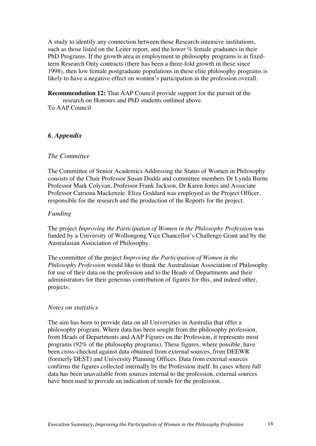A study to identify any connection between those Research-intensive institutions, such as those listed on the Leiter report, and the lower % female graduates in their PhD Programs. If the growth area in employment in philosophy programs is in fixedterm Research Only contracts (there has been a three-fold growth in these since 1998), then low female postgraduate populations in these elite philosophy programs is likely to have a negative effect on women's participation in the profession overall.

**Recommendation 12:** That AAP Council provide support for the pursuit of the research on Honours and PhD students outlined above.

To AAP Council

#### *6. Appendix*

#### *The Committee*

The Committee of Senior Academics Addressing the Status of Women in Philosophy consists of the Chair Professor Susan Dodds and committee members Dr Lynda Burns Professor Mark Colyvan, Professor Frank Jackson, Dr Karen Jones and Associate Professor Catriona Mackenzie. Eliza Goddard was employed as the Project Officer, responsible for the research and the production of the Reports for the project.

#### *Funding*

The project *Improving the Participation of Women in the Philosophy Profession* was funded by a University of Wollongong Vice Chancellor's Challenge Grant and by the Australasian Association of Philosophy.

The committee of the project *Improving the Participation of Women in the Philosophy Profession* would like to thank the Australasian Association of Philosophy for use of their data on the profession and to the Heads of Departments and their administrators for their generous contribution of figures for this, and indeed other, projects.

#### *Notes on statistics*

The aim has been to provide data on all Universities in Australia that offer a philosophy program. Where data has been sought from the philosophy profession, from Heads of Departments and AAP Figures on the Profession, it represents most programs (92% of the philosophy programs). These figures, where possible, have been cross-checked against data obtained from external sources, from DEEWR (formerly DEST) and University Planning Offices. Data from external sources confirms the figures collected internally by the Profession itself. In cases where full data has been unavailable from sources internal to the profession, external sources have been used to provide an indication of trends for the profession.